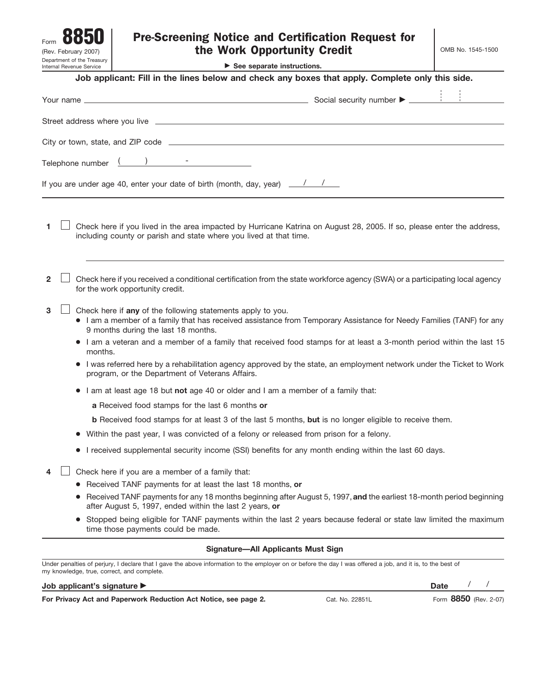| Form                                                   |
|--------------------------------------------------------|
| (Rev. February 2007)                                   |
| Department of the Treasury<br>Internal Revenue Service |

| Form<br>(Rev. February 2007)<br>Department of the Treasury | <b>Pre-Screening Notice and Certification Request for</b><br>the Work Opportunity Credit                                                                                                                                                                                                                                                                     | OMB No. 1545-1500 |  |  |
|------------------------------------------------------------|--------------------------------------------------------------------------------------------------------------------------------------------------------------------------------------------------------------------------------------------------------------------------------------------------------------------------------------------------------------|-------------------|--|--|
| Internal Revenue Service                                   | $\triangleright$ See separate instructions.                                                                                                                                                                                                                                                                                                                  |                   |  |  |
|                                                            | Job applicant: Fill in the lines below and check any boxes that apply. Complete only this side.                                                                                                                                                                                                                                                              |                   |  |  |
|                                                            | Your name <u>estimate and the set of the set of the set of the set of the set of the set of the set of the set of the set of the set of the set of the set of the set of the set of the set of the set of the set of the set of</u>                                                                                                                          |                   |  |  |
|                                                            |                                                                                                                                                                                                                                                                                                                                                              |                   |  |  |
|                                                            |                                                                                                                                                                                                                                                                                                                                                              |                   |  |  |
|                                                            | Telephone number $\frac{(\qquad)}{(\qquad)}$ -                                                                                                                                                                                                                                                                                                               |                   |  |  |
|                                                            | If you are under age 40, enter your date of birth (month, day, year) $\frac{1}{\sqrt{1-\frac{1}{1-\frac{1}{1-\frac{1}{1-\frac{1}{1-\frac{1}{1-\frac{1}{1-\frac{1}{1-\frac{1}{1-\frac{1}{1-\frac{1}{1-\frac{1}{1-\frac{1}{1-\frac{1}{1-\frac{1}{1-\frac{1}{1-\frac{1}{1-\frac{1}{1-\frac{1}{1-\frac{1}{1-\frac{1}{1-\frac{1}{1-\frac{1}{1-\frac{1}{1-\frac{1$ |                   |  |  |
|                                                            | Check here if you lived in the area impacted by Hurricane Katrina on August 28, 2005. If so, please enter the address,<br>including county or parish and state where you lived at that time.                                                                                                                                                                 |                   |  |  |
| $\mathbf{2}$                                               | Check here if you received a conditional certification from the state workforce agency (SWA) or a participating local agency<br>for the work opportunity credit.                                                                                                                                                                                             |                   |  |  |
| 3                                                          | Check here if any of the following statements apply to you.<br>• I am a member of a family that has received assistance from Temporary Assistance for Needy Families (TANF) for any<br>9 months during the last 18 months.                                                                                                                                   |                   |  |  |
|                                                            | • I am a veteran and a member of a family that received food stamps for at least a 3-month period within the last 15<br>months.                                                                                                                                                                                                                              |                   |  |  |
|                                                            | I was referred here by a rehabilitation agency approved by the state, an employment network under the Ticket to Work<br>program, or the Department of Veterans Affairs.                                                                                                                                                                                      |                   |  |  |
|                                                            | I am at least age 18 but not age 40 or older and I am a member of a family that:                                                                                                                                                                                                                                                                             |                   |  |  |
|                                                            | a Received food stamps for the last 6 months or                                                                                                                                                                                                                                                                                                              |                   |  |  |
|                                                            | <b>b</b> Received food stamps for at least 3 of the last 5 months, but is no longer eligible to receive them.                                                                                                                                                                                                                                                |                   |  |  |
| $\bullet$                                                  | Within the past year, I was convicted of a felony or released from prison for a felony.                                                                                                                                                                                                                                                                      |                   |  |  |
|                                                            | I received supplemental security income (SSI) benefits for any month ending within the last 60 days.                                                                                                                                                                                                                                                         |                   |  |  |
|                                                            | Check here if you are a member of a family that:                                                                                                                                                                                                                                                                                                             |                   |  |  |
|                                                            | Received TANF payments for at least the last 18 months, or                                                                                                                                                                                                                                                                                                   |                   |  |  |
| $\bullet$                                                  | Received TANF payments for any 18 months beginning after August 5, 1997, and the earliest 18-month period beginning<br>after August 5, 1997, ended within the last 2 years, or                                                                                                                                                                               |                   |  |  |
|                                                            | Stopped being eligible for TANF payments within the last 2 years because federal or state law limited the maximum<br>time those payments could be made.                                                                                                                                                                                                      |                   |  |  |
|                                                            | <b>Signature-All Applicants Must Sign</b>                                                                                                                                                                                                                                                                                                                    |                   |  |  |
|                                                            | Under penalties of perjury, I declare that I gave the above information to the employer on or before the day I was offered a job, and it is, to the best of<br>my knowledge, true, correct, and complete.                                                                                                                                                    |                   |  |  |

## **Job applicant's signature**

**For Privacy Act and Paperwork Reduction Act Notice, see page 2.**

Cat. No. 22851L

**Date** / /